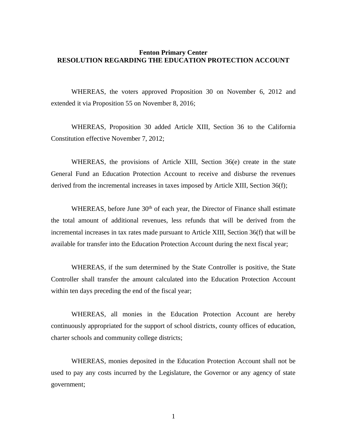## **Fenton Primary Center RESOLUTION REGARDING THE EDUCATION PROTECTION ACCOUNT**

WHEREAS, the voters approved Proposition 30 on November 6, 2012 and extended it via Proposition 55 on November 8, 2016;

WHEREAS, Proposition 30 added Article XIII, Section 36 to the California Constitution effective November 7, 2012;

WHEREAS, the provisions of Article XIII, Section 36(e) create in the state General Fund an Education Protection Account to receive and disburse the revenues derived from the incremental increases in taxes imposed by Article XIII, Section 36(f);

WHEREAS, before June 30<sup>th</sup> of each year, the Director of Finance shall estimate the total amount of additional revenues, less refunds that will be derived from the incremental increases in tax rates made pursuant to Article XIII, Section 36(f) that will be available for transfer into the Education Protection Account during the next fiscal year;

WHEREAS, if the sum determined by the State Controller is positive, the State Controller shall transfer the amount calculated into the Education Protection Account within ten days preceding the end of the fiscal year;

WHEREAS, all monies in the Education Protection Account are hereby continuously appropriated for the support of school districts, county offices of education, charter schools and community college districts;

WHEREAS, monies deposited in the Education Protection Account shall not be used to pay any costs incurred by the Legislature, the Governor or any agency of state government;

1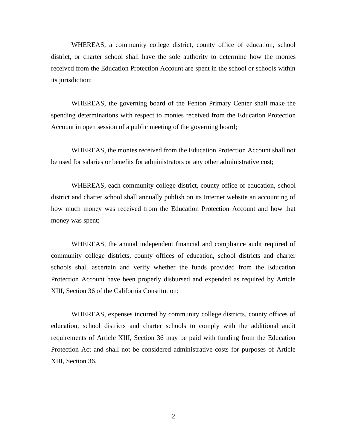WHEREAS, a community college district, county office of education, school district, or charter school shall have the sole authority to determine how the monies received from the Education Protection Account are spent in the school or schools within its jurisdiction;

WHEREAS, the governing board of the Fenton Primary Center shall make the spending determinations with respect to monies received from the Education Protection Account in open session of a public meeting of the governing board;

WHEREAS, the monies received from the Education Protection Account shall not be used for salaries or benefits for administrators or any other administrative cost;

WHEREAS, each community college district, county office of education, school district and charter school shall annually publish on its Internet website an accounting of how much money was received from the Education Protection Account and how that money was spent;

WHEREAS, the annual independent financial and compliance audit required of community college districts, county offices of education, school districts and charter schools shall ascertain and verify whether the funds provided from the Education Protection Account have been properly disbursed and expended as required by Article XIII, Section 36 of the California Constitution;

WHEREAS, expenses incurred by community college districts, county offices of education, school districts and charter schools to comply with the additional audit requirements of Article XIII, Section 36 may be paid with funding from the Education Protection Act and shall not be considered administrative costs for purposes of Article XIII, Section 36.